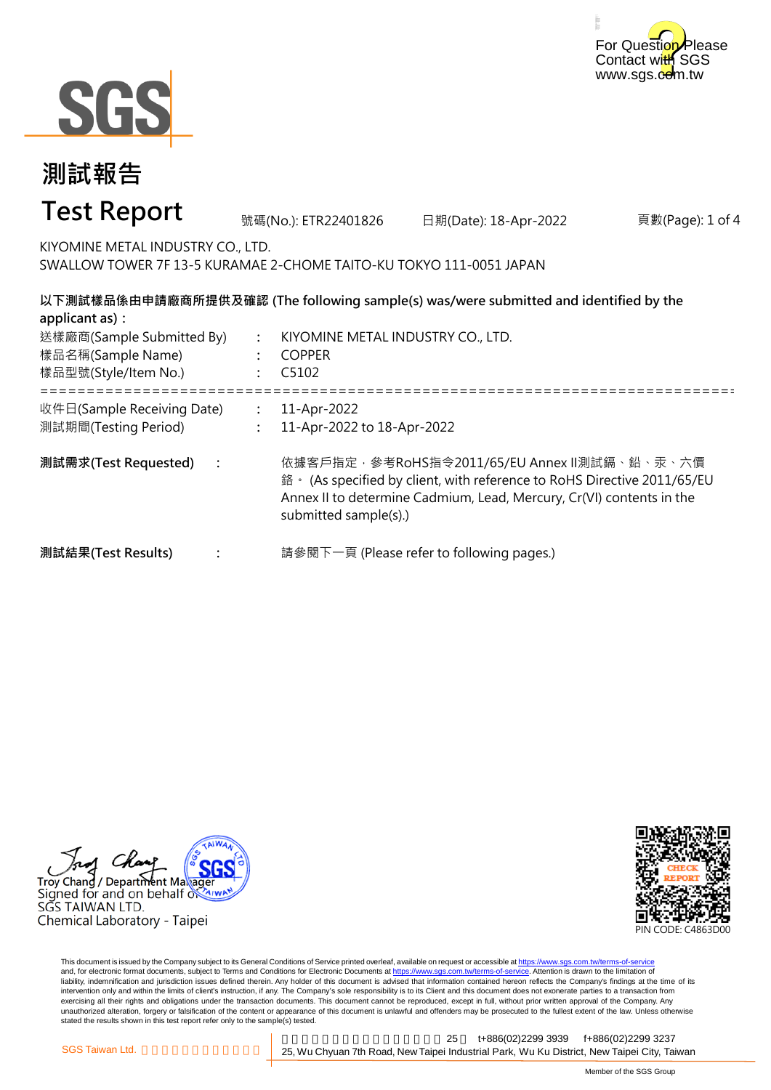



#### 頁數(Page): 1 of 4 **: : :** ===================================================================================================== **: : : 測試需求(Test Requested) :** 號碼(No.): ETR22401826 日期(Date): 18-Apr-2022 **測試報告 Test Report** KIYOMINE METAL INDUSTRY CO., LTD. SWALLOW TOWER 7F 13-5 KURAMAE 2-CHOME TAITO-KU TOKYO 111-0051 JAPAN **以下測試樣品係由申請廠商所提供及確認 (The following sample(s) was/were submitted and identified by the applicant as):** KIYOMINE METAL INDUSTRY CO., LTD. COPPER C5102 **測試結果(Test Results)** 樣品名稱(Sample Name) 樣品型號(Style/Item No.) 送樣廠商(Sample Submitted By) 收件日(Sample Receiving Date) 測試期間(Testing Period) 11-Apr-2022 11-Apr-2022 to 18-Apr-2022 依據客戶指定,參考RoHS指令2011/65/EU Annex II測試鎘、鉛、汞、六價 鉻。 (As specified by client, with reference to RoHS Directive 2011/65/EU Annex II to determine Cadmium, Lead, Mercury, Cr(VI) contents in the submitted sample(s).) 請參閱下一頁 (Please refer to following pages.)





This document is issued by the Company subject to its General Conditions of Service printed overleaf, available on request or accessible at https://www.sgs.com.tw/terms-of-service and, for electronic format documents, subject to Terms and Conditions for Electronic Documents at https://www.sgs.com.tw/terms-of-service. Attention is drawn to the limitation of liability, indemnification and jurisdiction issues defined therein. Any holder of this document is advised that information contained hereon reflects the Company's findings at the time of its intervention only and within the limits of client's instruction, if any. The Company's sole responsibility is to its Client and this document does not exonerate parties to a transaction from exercising all their rights and obligations under the transaction documents. This document cannot be reproduced, except in full, without prior written approval of the Company. Any<br>unauthorized alteration, forgery or falsif stated the results shown in this test report refer only to the sample(s) tested.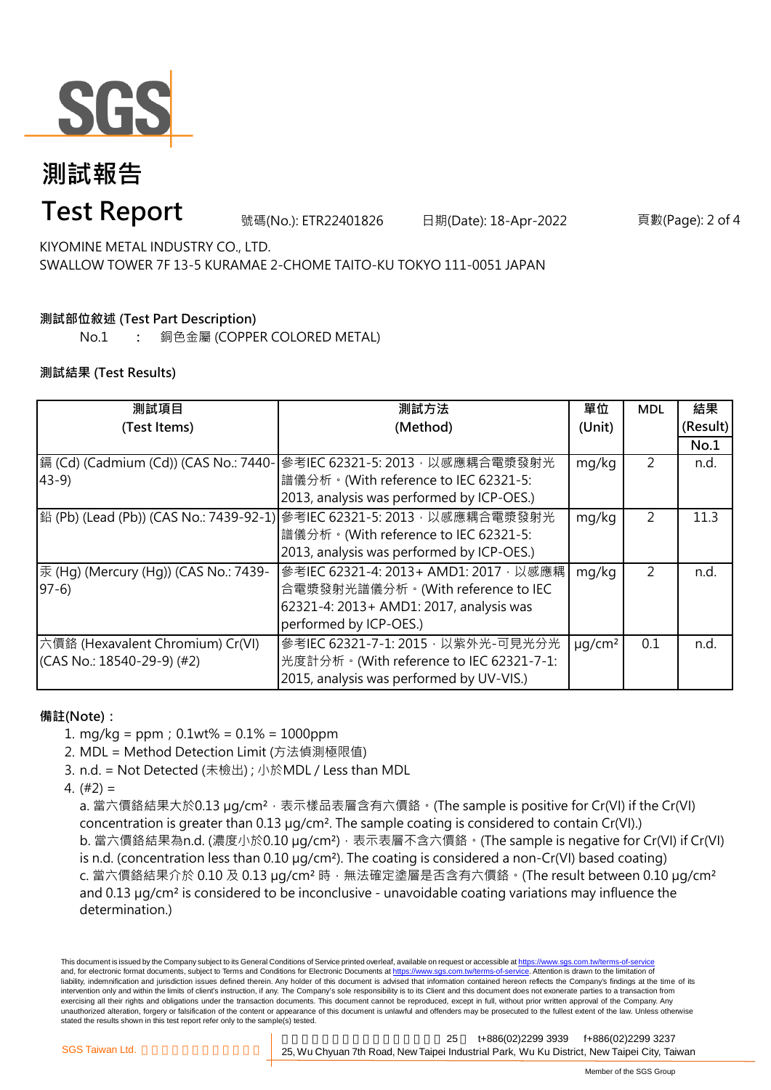

# **測試報告**

### **Test Report**

號碼(No.): ETR22401826 日期(Date): 18-Apr-2022 頁數(Page): 2 of 4

KIYOMINE METAL INDUSTRY CO., LTD. SWALLOW TOWER 7F 13-5 KURAMAE 2-CHOME TAITO-KU TOKYO 111-0051 JAPAN

### **測試部位敘述 (Test Part Description)**

No.1 **:** 銅色金屬 (COPPER COLORED METAL)

#### **測試結果 (Test Results)**

| 測試項目                                  | 測試方法                                                                   | 單位           | <b>MDL</b> | 結果       |
|---------------------------------------|------------------------------------------------------------------------|--------------|------------|----------|
| (Test Items)                          | (Method)                                                               | (Unit)       |            | (Result) |
|                                       |                                                                        |              |            | No.1     |
| 鎘 (Cd) (Cadmium (Cd)) (CAS No.: 7440- | 參考IEC 62321-5: 2013, 以感應耦合電漿發射光                                        | mg/kg        | 2          | n.d.     |
| $43-9$                                | 譜儀分析。(With reference to IEC 62321-5:                                   |              |            |          |
|                                       | 2013, analysis was performed by ICP-OES.)                              |              |            |          |
|                                       | 鉛 (Pb) (Lead (Pb)) (CAS No.: 7439-92-1) 參考IEC 62321-5: 2013,以感應耦合電漿發射光 | mg/kg        | 2          | 11.3     |
|                                       | 譜儀分析。(With reference to IEC 62321-5:                                   |              |            |          |
|                                       | 2013, analysis was performed by ICP-OES.)                              |              |            |          |
| 汞 (Hg) (Mercury (Hg)) (CAS No.: 7439- | 參考IEC 62321-4: 2013+ AMD1: 2017, 以感應耦                                  | mg/kg        | 2          | n.d.     |
| $97-6$                                | 合電漿發射光譜儀分析。(With reference to IEC                                      |              |            |          |
|                                       | 62321-4: 2013+ AMD1: 2017, analysis was                                |              |            |          |
|                                       | performed by ICP-OES.)                                                 |              |            |          |
| 六價鉻 (Hexavalent Chromium) Cr(VI)      | 參考IEC 62321-7-1: 2015, 以紫外光-可見光分光                                      | $\mu q/cm^2$ | 0.1        | n.d.     |
| $(CAS No.: 18540-29-9)$ (#2)          | 光度計分析。(With reference to IEC 62321-7-1:                                |              |            |          |
|                                       | 2015, analysis was performed by UV-VIS.)                               |              |            |          |

#### **備註(Note):**

- 1. mg/kg = ppm;0.1wt% = 0.1% = 1000ppm
- 2. MDL = Method Detection Limit (方法偵測極限值)
- 3. n.d. = Not Detected (未檢出) ; 小於MDL / Less than MDL
- 4. (#2) =

a. 當六價鉻結果大於0.13 μg/cm<sup>2</sup>,表示樣品表層含有六價鉻。(The sample is positive for Cr(VI) if the Cr(VI) concentration is greater than 0.13 µg/cm². The sample coating is considered to contain Cr(VI).) b. 當六價鉻結果為n.d. (濃度小於0.10 μg/cm<sup>2</sup>), 表示表層不含六價鉻。(The sample is negative for Cr(VI) if Cr(VI) is n.d. (concentration less than 0.10 µg/cm²). The coating is considered a non-Cr(VI) based coating) c. 當六價鉻結果介於 0.10 及 0.13 µg/cm² 時,無法確定塗層是否含有六價鉻。(The result between 0.10 µg/cm² and 0.13 µg/cm² is considered to be inconclusive - unavoidable coating variations may influence the determination.)

This document is issued by the Company subject to its General Conditions of Service printed overleaf, available on request or accessible at https://www.sgs.com.tw/terms-of-service and, for electronic format documents, subject to Terms and Conditions for Electronic Documents at https://www.sgs.com.tw/terms-of-service. Attention is drawn to the limitation of liability, indemnification and jurisdiction issues defined therein. Any holder of this document is advised that information contained hereon reflects the Company's findings at the time of its intervention only and within the limits of client's instruction, if any. The Company's sole responsibility is to its Client and this document does not exonerate parties to a transaction from exercising all their rights and obligations under the transaction documents. This document cannot be reproduced, except in full, without prior written approval of the Company. Any unauthorized alteration, forgery or falsification of the content or appearance of this document is unlawful and offenders may be prosecuted to the fullest extent of the law. Unless otherwise stated the results shown in this test report refer only to the sample(s) tested.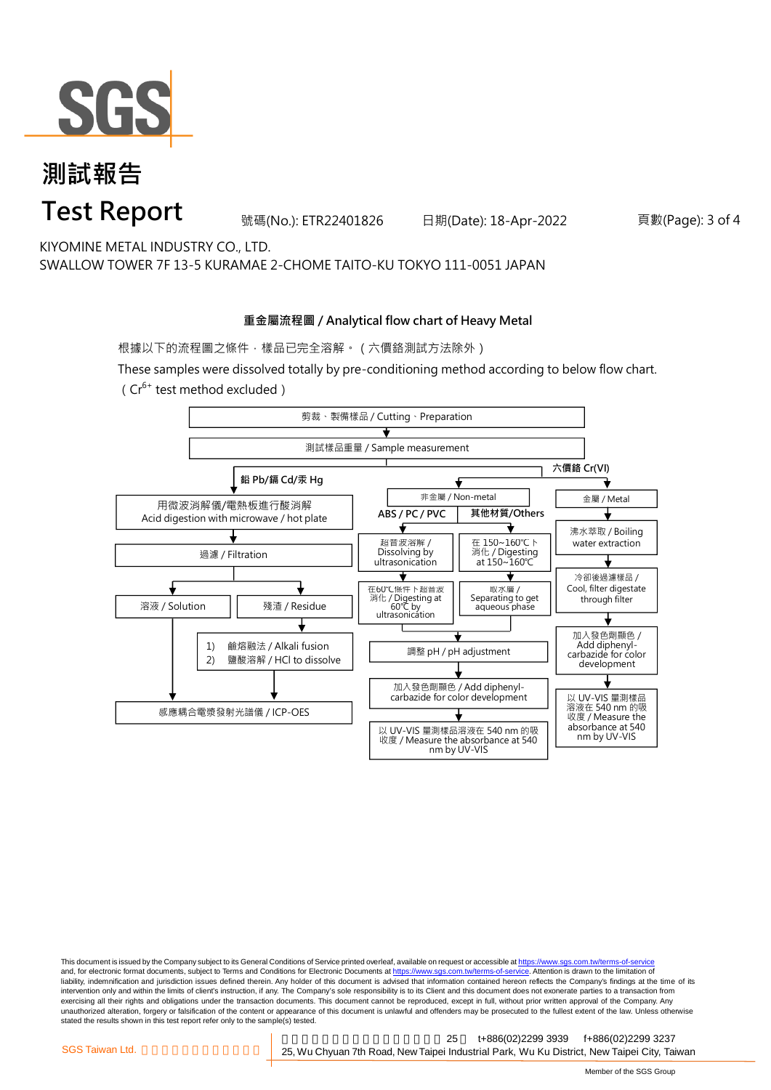

## **測試報告 Test Report**

號碼(No.): ETR22401826 日期(Date): 18-Apr-2022 頁數(Page): 3 of 4

KIYOMINE METAL INDUSTRY CO., LTD. SWALLOW TOWER 7F 13-5 KURAMAE 2-CHOME TAITO-KU TOKYO 111-0051 JAPAN

#### **重金屬流程圖 / Analytical flow chart of Heavy Metal**

根據以下的流程圖之條件,樣品已完全溶解。(六價鉻測試方法除外)

These samples were dissolved totally by pre-conditioning method according to below flow chart. ( $Cr^{6+}$  test method excluded)



This document is issued by the Company subject to its General Conditions of Service printed overleaf, available on request or accessible at https://www.sgs.com.tw/terms-of-service and, for electronic format documents, subject to Terms and Conditions for Electronic Documents at https://www.sgs.com.tw/terms-of-service. Attention is drawn to the limitation of liability, indemnification and jurisdiction issues defined therein. Any holder of this document is advised that information contained hereon reflects the Company's findings at the time of its intervention only and within the limits of client's instruction, if any. The Company's sole responsibility is to its Client and this document does not exonerate parties to a transaction from exercising all their rights and obligations under the transaction documents. This document cannot be reproduced, except in full, without prior written approval of the Company. Any<br>unauthorized alteration, forgery or falsif stated the results shown in this test report refer only to the sample(s) tested.